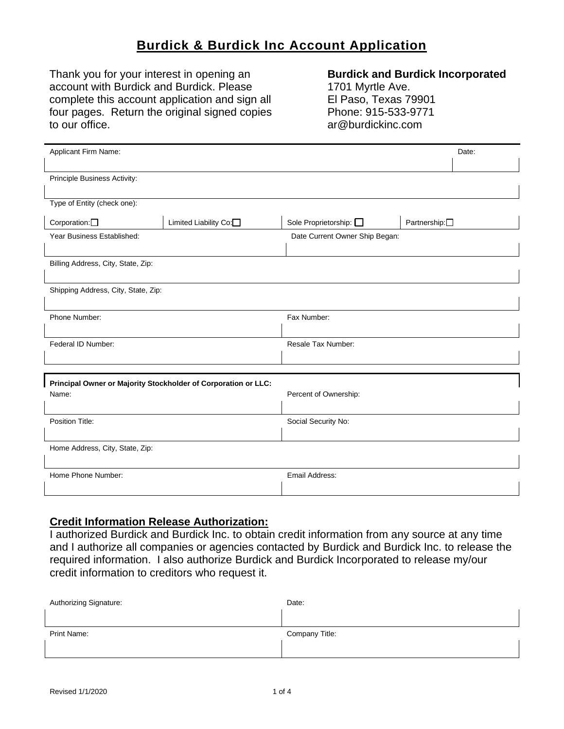# **Burdick & Burdick Inc Account Application**

Thank you for your interest in opening an account with Burdick and Burdick. Please complete this account application and sign all four pages. Return the original signed copies to our office.

#### **Burdick and Burdick Incorporated**

1701 Myrtle Ave. El Paso, Texas 79901 Phone: 915-533-9771 ar@burdickinc.com

| Applicant Firm Name:                                           |                       |                                |                            | Date: |
|----------------------------------------------------------------|-----------------------|--------------------------------|----------------------------|-------|
|                                                                |                       |                                |                            |       |
| Principle Business Activity:                                   |                       |                                |                            |       |
|                                                                |                       |                                |                            |       |
| Type of Entity (check one):                                    |                       |                                |                            |       |
| Corporation: <sup>[]</sup>                                     | Limited Liability Co: | Sole Proprietorship: $\square$ | Partnership: <sup>[]</sup> |       |
| Year Business Established:                                     |                       | Date Current Owner Ship Began: |                            |       |
|                                                                |                       |                                |                            |       |
| Billing Address, City, State, Zip:                             |                       |                                |                            |       |
|                                                                |                       |                                |                            |       |
| Shipping Address, City, State, Zip:                            |                       |                                |                            |       |
| Phone Number:                                                  |                       | Fax Number:                    |                            |       |
|                                                                |                       |                                |                            |       |
| Federal ID Number:                                             |                       | Resale Tax Number:             |                            |       |
|                                                                |                       |                                |                            |       |
|                                                                |                       |                                |                            |       |
| Principal Owner or Majority Stockholder of Corporation or LLC: |                       |                                |                            |       |
| Name:                                                          |                       | Percent of Ownership:          |                            |       |
|                                                                |                       |                                |                            |       |
| Position Title:                                                |                       | Social Security No:            |                            |       |
| Home Address, City, State, Zip:                                |                       |                                |                            |       |
|                                                                |                       |                                |                            |       |
| Home Phone Number:                                             |                       | Email Address:                 |                            |       |
|                                                                |                       |                                |                            |       |

### **Credit Information Release Authorization:**

I authorized Burdick and Burdick Inc. to obtain credit information from any source at any time and I authorize all companies or agencies contacted by Burdick and Burdick Inc. to release the required information. I also authorize Burdick and Burdick Incorporated to release my/our credit information to creditors who request it.

| Authorizing Signature: | Date:          |
|------------------------|----------------|
|                        |                |
| Print Name:            | Company Title: |
|                        |                |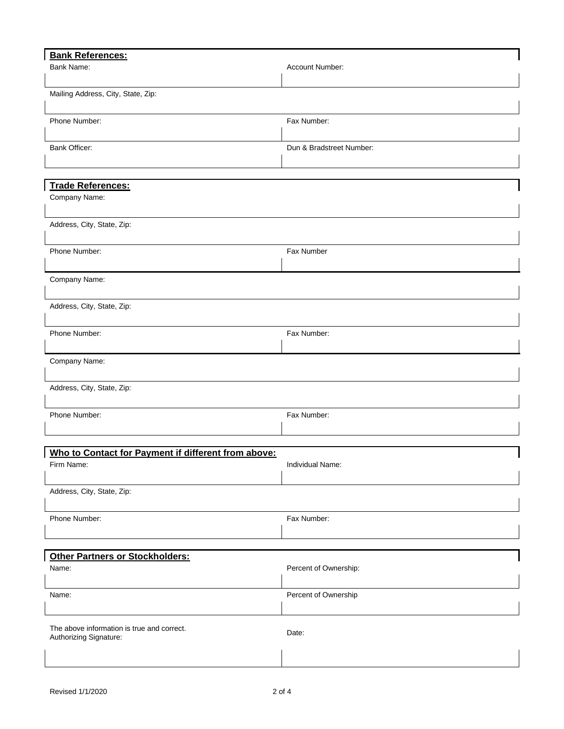| <b>Bank References:</b>                             |                          |
|-----------------------------------------------------|--------------------------|
| Bank Name:                                          | Account Number:          |
|                                                     |                          |
| Mailing Address, City, State, Zip:                  |                          |
|                                                     |                          |
| Phone Number:                                       | Fax Number:              |
|                                                     |                          |
| <b>Bank Officer:</b>                                | Dun & Bradstreet Number: |
|                                                     |                          |
|                                                     |                          |
| <b>Trade References:</b>                            |                          |
| Company Name:                                       |                          |
|                                                     |                          |
| Address, City, State, Zip:                          |                          |
|                                                     |                          |
| Phone Number:                                       | Fax Number               |
|                                                     |                          |
|                                                     |                          |
| Company Name:                                       |                          |
|                                                     |                          |
| Address, City, State, Zip:                          |                          |
|                                                     |                          |
| Phone Number:                                       | Fax Number:              |
|                                                     |                          |
| Company Name:                                       |                          |
|                                                     |                          |
| Address, City, State, Zip:                          |                          |
|                                                     |                          |
| Phone Number:                                       | Fax Number:              |
|                                                     |                          |
|                                                     |                          |
| Who to Contact for Payment if different from above: |                          |
| Firm Name:                                          | Individual Name:         |
|                                                     |                          |
| Address, City, State, Zip:                          |                          |
|                                                     |                          |
| Phone Number:                                       | Fax Number:              |
|                                                     |                          |
|                                                     |                          |
| <b>Other Partners or Stockholders:</b>              |                          |
| Name:                                               | Percent of Ownership:    |
|                                                     |                          |
|                                                     |                          |
| Name:                                               | Percent of Ownership     |
|                                                     |                          |
| The above information is true and correct.          |                          |
| Authorizing Signature:                              | Date:                    |
|                                                     |                          |
|                                                     |                          |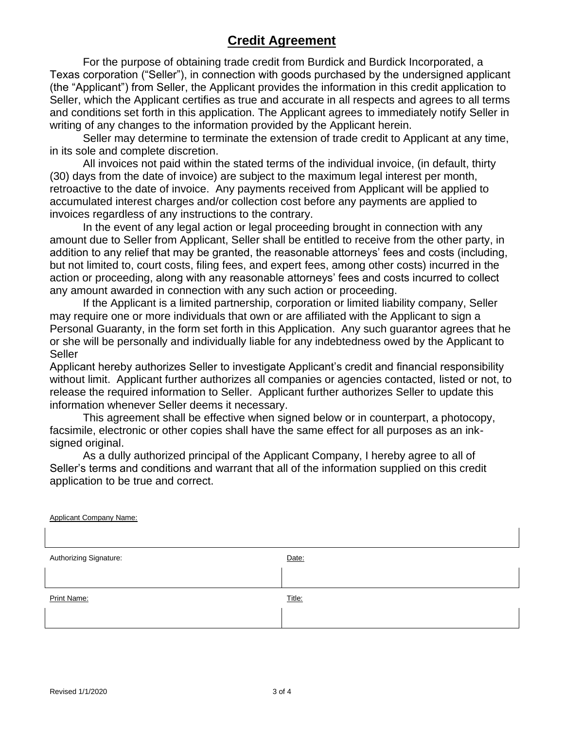## **Credit Agreement**

For the purpose of obtaining trade credit from Burdick and Burdick Incorporated, a Texas corporation ("Seller"), in connection with goods purchased by the undersigned applicant (the "Applicant") from Seller, the Applicant provides the information in this credit application to Seller, which the Applicant certifies as true and accurate in all respects and agrees to all terms and conditions set forth in this application. The Applicant agrees to immediately notify Seller in writing of any changes to the information provided by the Applicant herein.

Seller may determine to terminate the extension of trade credit to Applicant at any time, in its sole and complete discretion.

All invoices not paid within the stated terms of the individual invoice, (in default, thirty (30) days from the date of invoice) are subject to the maximum legal interest per month, retroactive to the date of invoice. Any payments received from Applicant will be applied to accumulated interest charges and/or collection cost before any payments are applied to invoices regardless of any instructions to the contrary.

In the event of any legal action or legal proceeding brought in connection with any amount due to Seller from Applicant, Seller shall be entitled to receive from the other party, in addition to any relief that may be granted, the reasonable attorneys' fees and costs (including, but not limited to, court costs, filing fees, and expert fees, among other costs) incurred in the action or proceeding, along with any reasonable attorneys' fees and costs incurred to collect any amount awarded in connection with any such action or proceeding.

If the Applicant is a limited partnership, corporation or limited liability company, Seller may require one or more individuals that own or are affiliated with the Applicant to sign a Personal Guaranty, in the form set forth in this Application. Any such guarantor agrees that he or she will be personally and individually liable for any indebtedness owed by the Applicant to Seller

Applicant hereby authorizes Seller to investigate Applicant's credit and financial responsibility without limit. Applicant further authorizes all companies or agencies contacted, listed or not, to release the required information to Seller. Applicant further authorizes Seller to update this information whenever Seller deems it necessary.

This agreement shall be effective when signed below or in counterpart, a photocopy, facsimile, electronic or other copies shall have the same effect for all purposes as an inksigned original.

As a dully authorized principal of the Applicant Company, I hereby agree to all of Seller's terms and conditions and warrant that all of the information supplied on this credit application to be true and correct.

| <b>Applicant Company Name:</b> |        |
|--------------------------------|--------|
|                                |        |
| Authorizing Signature:         | Date:  |
|                                |        |
| Print Name:                    | Title: |
|                                |        |